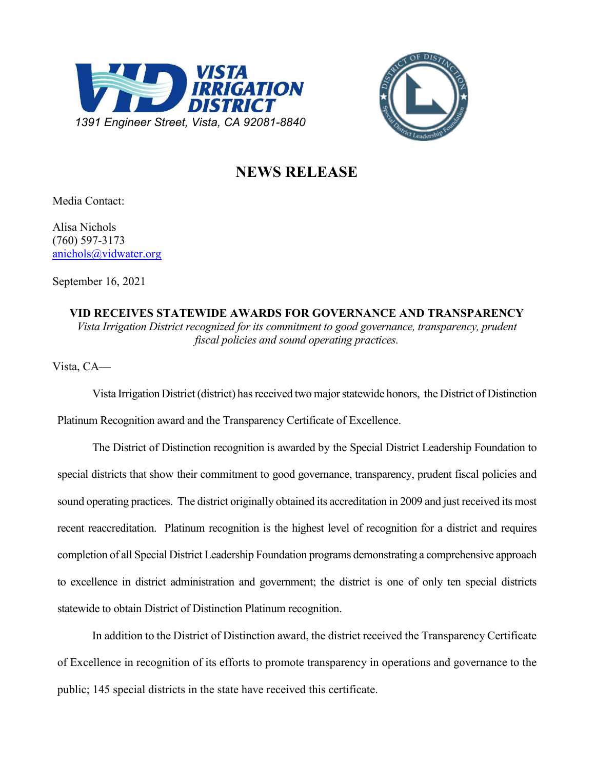



## **NEWS RELEASE**

Media Contact:

Alisa Nichols (760) 597-3173 [anichols@vidwater.org](mailto:anichols@vidwater.org)

September 16, 2021

**VID RECEIVES STATEWIDE AWARDS FOR GOVERNANCE AND TRANSPARENCY** *Vista Irrigation District recognized for its commitment to good governance, transparency, prudent fiscal policies and sound operating practices.*

Vista, CA—

Vista Irrigation District (district) has received two major statewide honors, the District of Distinction Platinum Recognition award and the Transparency Certificate of Excellence.

The District of Distinction recognition is awarded by the Special District Leadership Foundation to special districts that show their commitment to good governance, transparency, prudent fiscal policies and sound operating practices. The district originally obtained its accreditation in 2009 and just received its most recent reaccreditation. Platinum recognition is the highest level of recognition for a district and requires completion of all Special District Leadership Foundation programs demonstrating a comprehensive approach to excellence in district administration and government; the district is one of only ten special districts statewide to obtain District of Distinction Platinum recognition.

In addition to the District of Distinction award, the district received the Transparency Certificate of Excellence in recognition of its efforts to promote transparency in operations and governance to the public; 145 special districts in the state have received this certificate.